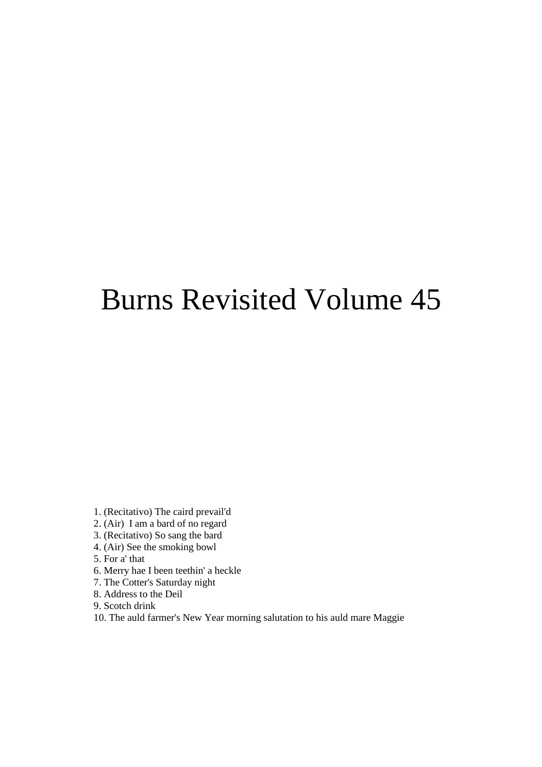# Burns Revisited Volume 45

- 1. (Recitativo) The caird prevail'd
- 2. (Air) I am a bard of no regard
- 3. (Recitativo) So sang the bard
- 4. (Air) See the smoking bowl
- 5. For a' that
- 6. Merry hae I been teethin' a heckle
- 7. The Cotter's Saturday night
- 8. Address to the Deil
- 9. Scotch drink
- 10. The auld farmer's New Year morning salutation to his auld mare Maggie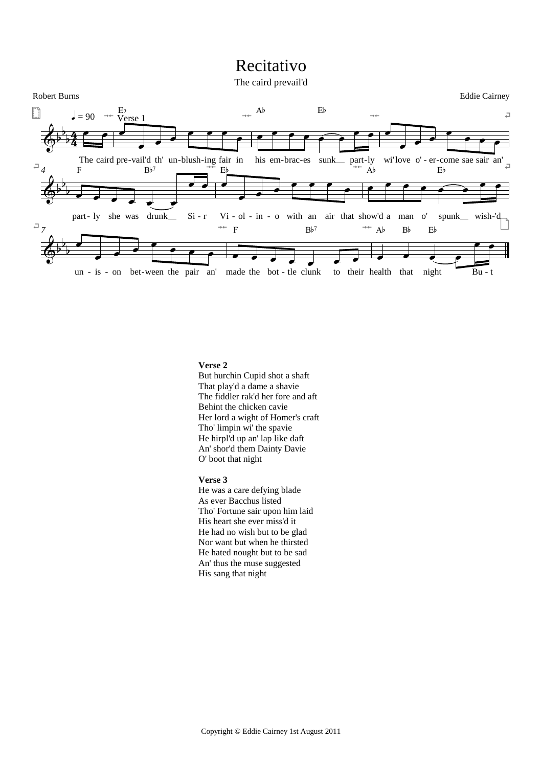# Recitativo



# **Verse 2**

But hurchin Cupid shot a shaft That play'd a dame a shavie The fiddler rak'd her fore and aft Behint the chicken cavie Her lord a wight of Homer's craft Tho' limpin wi' the spavie He hirpl'd up an' lap like daft An' shor'd them Dainty Davie O' boot that night

#### **Verse 3**

He was a care defying blade As ever Bacchus listed Tho' Fortune sair upon him laid His heart she ever miss'd it He had no wish but to be glad Nor want but when he thirsted He hated nought but to be sad An' thus the muse suggested His sang that night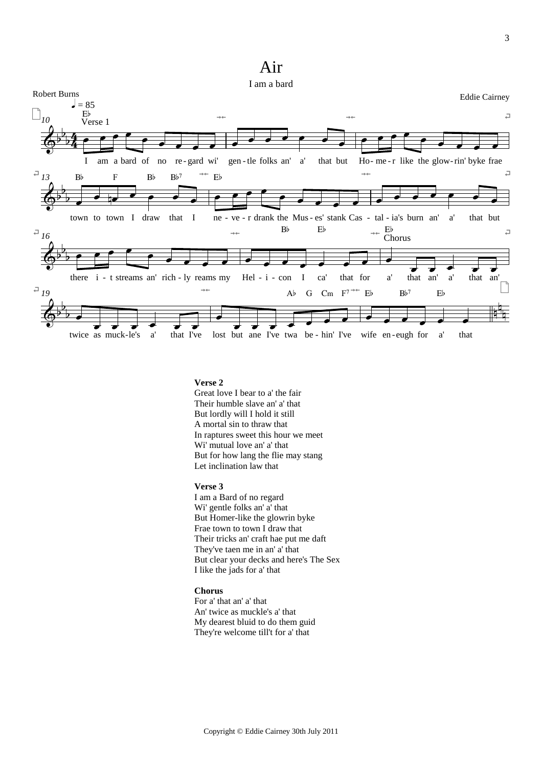# Air



### **Verse 2**

Great love I bear to a' the fair Their humble slave an' a' that But lordly will I hold it still A mortal sin to thraw that In raptures sweet this hour we meet Wi' mutual love an' a' that But for how lang the flie may stang Let inclination law that

# **Verse 3**

I am a Bard of no regard Wi' gentle folks an' a' that But Homer-like the glowrin byke Frae town to town I draw that Their tricks an' craft hae put me daft They've taen me in an' a' that But clear your decks and here's The Sex I like the jads for a' that

# **Chorus**

For a' that an' a' that An' twice as muckle's a' that My dearest bluid to do them guid They're welcome till't for a' that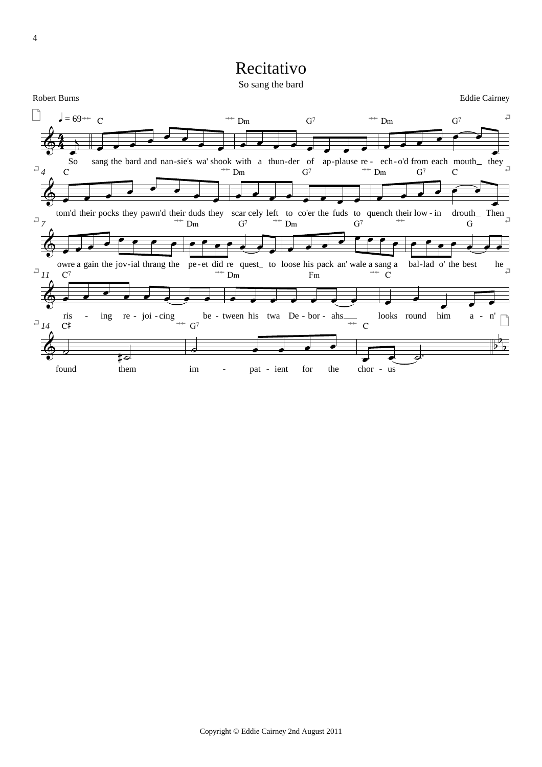# Recitativo

So sang the bard

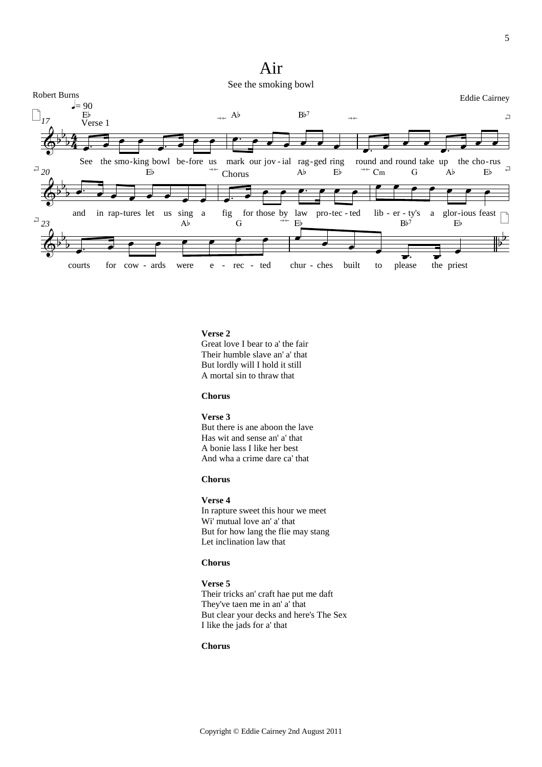# Air



# Verse 2

Great love I bear to a' the fair Their humble slave an' a' that But lordly will I hold it still A mortal sin to thraw that

# **Chorus**

# Verse 3

But there is ane aboon the lave Has wit and sense an' a' that A bonie lass I like her best And wha a crime dare ca' that

# **Chorus**

# Verse 4

In rapture sweet this hour we meet Wi' mutual love an' a' that But for how lang the flie may stang Let inclination law that

# **Chorus**

# Verse 5 Their tricks an' craft hae put me daft They've taen me in an' a' that But clear your decks and here's The Sex I like the jads for a' that

#### **Chorus**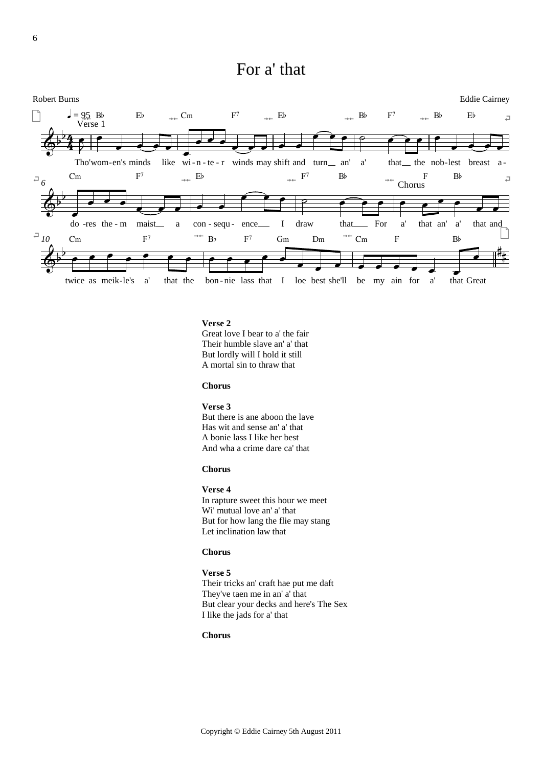# For a' that



# Verse 2

Great love I bear to a' the fair Their humble slave an' a' that But lordly will I hold it still A mortal sin to thraw that

### **Chorus**

Verse 3 But there is ane aboon the lave Has wit and sense an' a' that A bonie lass I like her best And wha a crime dare ca' that

# **Chorus**

# Verse 4

In rapture sweet this hour we meet Wi' mutual love an' a' that But for how lang the flie may stang Let inclination law that

### **Chorus**

Verse 5 Their tricks an' craft hae put me daft They've taen me in an' a' that But clear your decks and here's The Sex I like the jads for a' that

# **Chorus**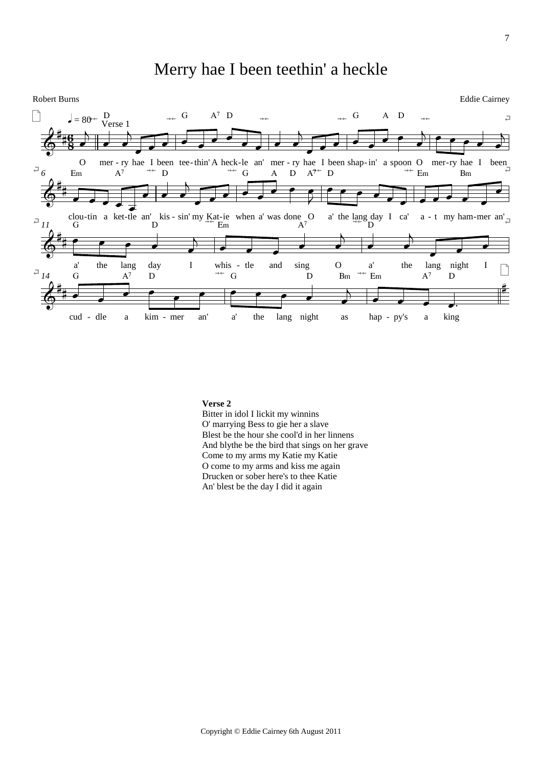# Merry hae I been teethin' a heckle



# **Verse 2**

Bitter in idol I lickit my winnins O' marrying Bess to gie her a slave Blest be the hour she cool'd in her linnens And blythe be the bird that sings on her grave Come to my arms my Katie my Katie O come to my arms and kiss me again Drucken or sober here's to thee Katie An' blest be the day I did it again

7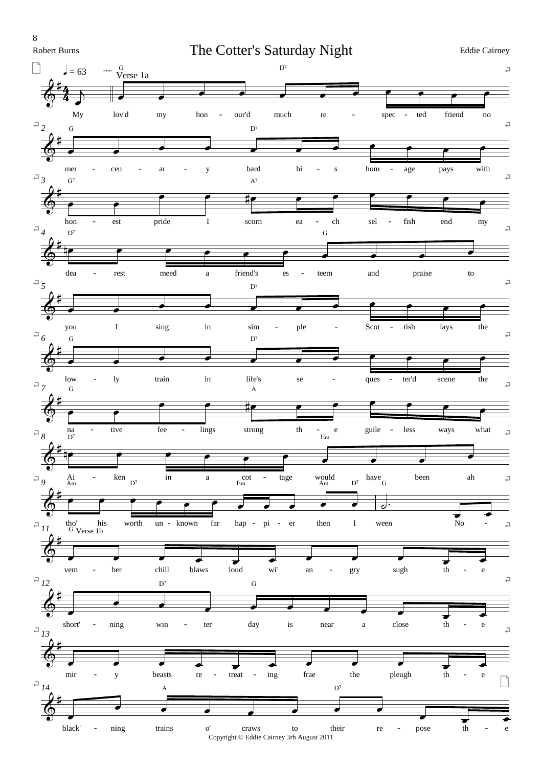8

**Robert Burns** 

The Cotter's Saturday Night

**Eddie Cairney** 

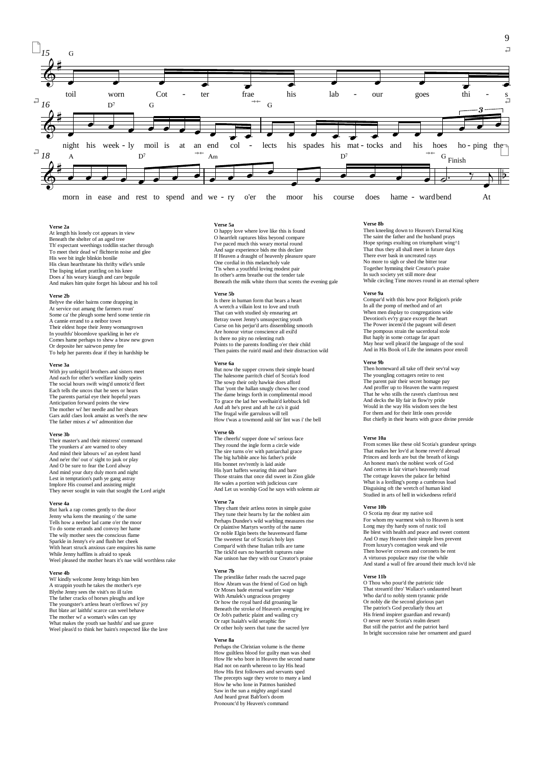

#### **Verse 2a**

At length his lonely cot appears in view Beneath the shelter of an aged tree Th' expectant weethings toddlin stacher through To meet their dead wi' flichterin noise and glee His wee bit ingle blinkin bonilie His clean hearthstane his thrifty wifie's smile The lisping infant prattling on his knee Does a' his weary kiaugh and care beguile And makes him quite forget his labour and his toil

#### **Verse 2b**

Belyve the elder bairns come drapping in At service out amang the farmers roun' Some ca' the pleugh some herd some tentie rin A cannie errand to a neibor town Their eldest hope their Jenny womangrown In youthfu' bloomlove sparkling in her e'e Comes hame perhaps to shew a braw new gown Or deposite her sairwon penny fee To help her parents dear if they in hardship be

#### **Verse 3a**

With joy unfeign'd brothers and sisters meet And each for other's weelfare kindly speirs The social hours swift wing'd unnotic'd fleet Each tells the uncos that he sees or hears The parents partial eve their hopeful years Anticipation forward points the view The mother wi' her needle and her shears Gars auld claes look amaist as weel's the new The father mixes a' wi' admonition due

#### **Verse 3b**

Their master's and their mistress' command The younkers a' are warned to obey And mind their labours wi' an eydent hand And ne'er tho' out o' sight to jauk or play And O be sure to fear the Lord alway And mind your duty duly morn and night Lest in temptation's path ye gang astray Implore His counsel and assisting might They never sought in vain that sought the Lord aright

**Verse 4a** But hark a rap comes gently to the door Jenny wha kens the meaning o' the same Tells how a neebor lad came o'er the moor To do some errands and convoy her hame The wily mother sees the conscious flame Sparkle in Jenny's e'e and flush her cheek With heart struck anxious care enquires his name While Jenny hafflins is afraid to speak Weel pleased the mother hears it's nae wild worthless rake

#### **Verse 4b**

Wi' kindly welcome Jenny brings him ben A strappin youth he takes the mother's eye Blythe Jenny sees the visit's no ill ta'en The father cracks of horses pleughs and kye The youngster's artless heart o'erflows wi' joy But blate an' laithfu' scarce can weel behave The mother wi' a woman's wiles can spy What makes the youth sae bashfu' and sae grave Weel pleas'd to think her bairn's respected like the lave

#### **Verse 5a**

O happy love where love like this is found O heartfelt raptures bliss beyond compare I've paced much this weary mortal round And sage experience bids me this declare If Heaven a draught of heavenly pleasure spare One cordial in this melancholy vale 'Tis when a youthful loving modest pair In other's arms breathe out the tender tale Beneath the milk white thorn that scents the evening gale

#### **Verse 5b**

Is there in human form that bears a heart A wretch a villain lost to love and truth That can with studied sly ensnaring art Betray sweet Jenny's unsuspecting youth Curse on his perjur'd arts dissembling smooth Are honour virtue conscience all exil'd Is there no pity no relenting ruth Points to the parents fondling o'er their child Then paints the ruin'd maid and their distraction wild

#### **Verse 6a**

But now the supper crowns their simple board The halesome parritch chief of Scotia's food The sowp their only hawkie does afford That 'yont the hallan snugly chows her cood The dame brings forth in complimental mood To grace the lad her weelhain'd kebbuck fell And aft he's prest and aft he ca's it guid The frugal wifie garrulous will tell How t'was a towmond auld sin' lint was i' the bell

#### **Verse 6b**

The cheerfu' supper done wi' serious face They round the ingle form a circle wide The sire turns o'er with patriarchal grace The big ha'bible ance his father's pride His bonnet rev'rently is laid aside His lyart haffets wearing thin and bare Those strains that once did sweet in Zion glide He wales a portion with judicious care And Let us worship God he says with solemn air

#### **Verse 7a**

They chant their artless notes in simple guise They tune their hearts by far the noblest aim Perhaps Dundee's wild warbling measures rise Or plaintive Martyrs worthy of the name Or noble Elgin beets the heavenward flame The sweetest far of Scotia's holy lays Compar'd with these Italian trills are tame The tickl'd ears no heartfelt raptures raise Nae unison hae they with our Creator's praise

#### **Verse 7b**

The priestlike father reads the sacred page How Abram was the friend of God on high Or Moses bade eternal warfare wage With Amalek's ungracious progeny Or how the royal bard did groaning lie Beneath the stroke of Heaven's avenging ire Or Job's pathetic plaint and wailing cry Or rapt Isaiah's wild seraphic fire Or other holy seers that tune the sacred lyre

#### **Verse 8a**

Perhaps the Christian volume is the theme How guiltless blood for guilty man was shed How He who bore in Heaven the second name Had not on earth whereon to lay His head How His first followers and servants sped The precepts sage they wrote to many a land How he who lone in Patmos banished Saw in the sun a mighty angel stand And heard great Bab'lon's doom Pronounc'd by Heaven's command

#### **Verse 8b**

Then kneeling down to Heaven's Eternal King The saint the father and the husband prays Hope springs exulting on triumphant wing<sup>^1</sup> That thus they all shall meet in future days There ever bask in uncreated rays No more to sigh or shed the bitter tear Together hymning their Creator's praise In such society yet still more dear While circling Time moves round in an eternal sphere

#### **Verse 9a**

Compar'd with this how poor Religion's pride In all the pomp of method and of art When men display to congregations wide Devotion's ev'ry grace except the heart The Power incens'd the pageant will desert The pompous strain the sacerdotal stole But haply in some cottage far apart May hear well pleas'd the language of the soul And in His Book of Life the inmates poor enroll

#### **Verse 9b**

Then homeward all take off their sev'ral way The youngling cottagers retire to rest The parent pair their secret homage pay And proffer up to Heaven the warm request That he who stills the raven's clam'rous nest And decks the lily fair in flow'ry pride Would in the way His wisdom sees the best For them and for their little ones provide But chiefly in their hearts with grace divine preside

#### **Verse 10a**

From scenes like these old Scotia's grandeur springs That makes her lov'd at home rever'd abroad Princes and lords are but the breath of kings An honest man's the noblest work of God And certes in fair virtue's heavenly road The cottage leaves the palace far behind What is a lordling's pomp a cumbrous load Disguising oft the wretch of human kind Studied in arts of hell in wickedness refin'd

#### **Verse 10b**

O Scotia my dear my native soil For whom my warmest wish to Heaven is sent Long may thy hardy sons of rustic toil Be blest with health and peace and sweet content And O may Heaven their simple lives prevent From luxury's contagion weak and vile Then howe'er crowns and coronets be rent A virtuous populace may rise the while And stand a wall of fire around their much lov'd isle

#### **Verse 11b**

O Thou who pour'd the patriotic tide That stream'd thro' Wallace's undaunted heart Who dar'd to nobly stem tyrannic pride Or nobly die the second glorious part The patriot's God peculiarly thou art His friend inspirer guardian and reward) O never never Scotia's realm desert But still the patriot and the patriot bard In bright succession raise her ornament and guard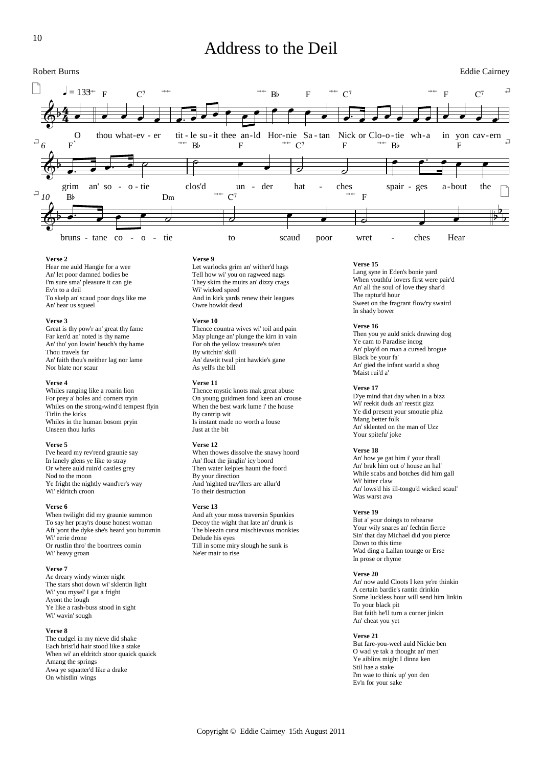# Address to the Deil



#### **Verse 2**

Hear me auld Hangie for a wee An' let poor damned bodies be I'm sure sma' pleasure it can gie Ev'n to a deil To skelp an' scaud poor dogs like me An' hear us squeel

#### **Verse 3**

Great is thy pow'r an' great thy fame Far ken'd an' noted is thy name An' tho' yon lowin' heuch's thy hame Thou travels far An' faith thou's neither lag nor lame Nor blate nor scaur

#### **Verse 4**

Whiles ranging like a roarin lion For prey a' holes and corners tryin Whiles on the strong-wind'd tempest flyin Tirlin the kirks Whiles in the human bosom pryin Unseen thou lurks

#### **Verse 5**

I've heard my rev'rend graunie say In lanely glens ye like to stray Or where auld ruin'd castles grey Nod to the moon Ye fright the nightly wand'rer's way Wi' eldritch croon

#### **Verse 6**

When twilight did my graunie summon To say her pray'rs douse honest woman Aft 'yont the dyke she's heard you bummin Wi' eerie drone Or rustlin thro' the boortrees comin Wi' heavy groan

#### **Verse 7**

Ae dreary windy winter night The stars shot down wi' sklentin light Wi' you mysel' I gat a fright Ayont the lough Ye like a rash-buss stood in sight Wi' wavin' sough

#### **Verse 8**

The cudgel in my nieve did shake Each brist'ld hair stood like a stake When wi' an eldritch stoor quaick quaick Amang the springs Awa ye squatter'd like a drake On whistlin' wings

#### **Verse 9**

Let warlocks grim an' wither'd hags Tell how wi' you on ragweed nags They skim the muirs an' dizzy crags Wi' wicked speed And in kirk yards renew their leagues Owre howkit dead

#### **Verse 10**

Thence countra wives wi' toil and pain May plunge an' plunge the kirn in vain For oh the yellow treasure's ta'en By witchin' skill An' dawtit twal pint hawkie's gane As yell's the bill

#### **Verse 11**

Thence mystic knots mak great abuse On young guidmen fond keen an' crouse When the best wark lume i' the house By cantrip wit Is instant made no worth a louse Just at the bit

#### **Verse 12**

When thowes dissolve the snawy hoord An' float the jinglin' icy boord Then water kelpies haunt the foord By your direction And 'nighted trav'llers are allur'd To their destruction

#### **Verse 13**

And aft your moss traversin Spunkies Decoy the wight that late an' drunk is The bleezin curst mischievous monkies Delude his eyes Till in some miry slough he sunk is Ne'er mair to rise

#### **Verse 15**

Lang syne in Eden's bonie yard When youthfu' lovers first were pair'd An' all the soul of love they shar'd The raptur'd hour Sweet on the fragrant flow'ry swaird In shady bower

#### **Verse 16**

Then you ye auld snick drawing dog Ye cam to Paradise incog An' play'd on man a cursed brogue Black be your fa' An' gied the infant warld a shog 'Maist rui'd a'

#### **Verse 17**

D'ye mind that day when in a bizz Wi' reekit duds an' reestit gizz Ye did present your smoutie phiz 'Mang better folk An' sklented on the man of Uzz Your spitefu' joke

#### **Verse 18**

An' how ye gat him i' your thrall An' brak him out o' house an hal' While scabs and botches did him gall Wi' bitter claw An' lows'd his ill-tongu'd wicked scaul' Was warst ava

#### **Verse 19**

But a' your doings to rehearse Your wily snares an' fechtin fierce Sin' that day Michael did you pierce Down to this time Wad ding a Lallan tounge or Erse In prose or rhyme

#### **Verse 20**

An' now auld Cloots I ken ye're thinkin A certain bardie's rantin drinkin Some luckless hour will send him linkin To your black pit But faith he'll turn a corner jinkin An' cheat you yet

#### **Verse 21**

But fare-you-weel auld Nickie ben O wad ye tak a thought an' men' Ye aiblins might I dinna ken Stil hae a stake I'm wae to think up' yon den Ev'n for your sake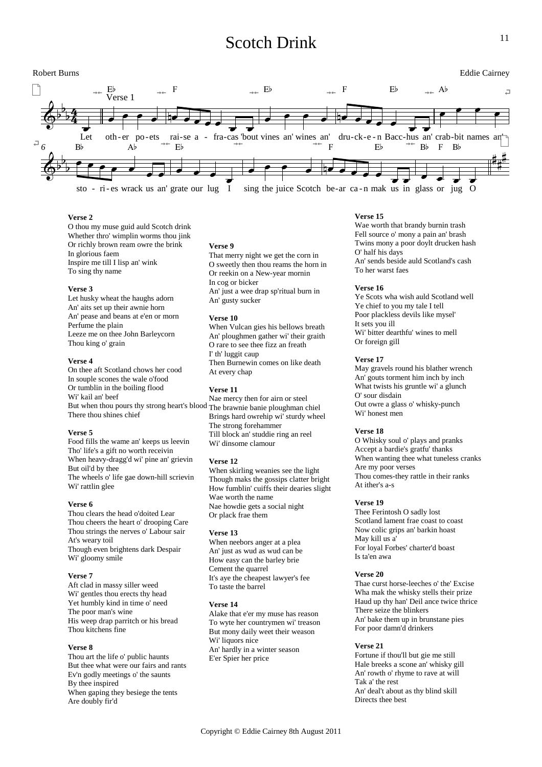# Scotch Drink



# **Verse 2**

O thou my muse guid auld Scotch drink Whether thro' wimplin worms thou jink Or richly brown ream owre the brink In glorious faem Inspire me till I lisp an' wink To sing thy name

#### **Verse 3**

Let husky wheat the haughs adorn An' aits set up their awnie horn An' pease and beans at e'en or morn Perfume the plain Leeze me on thee John Barleycorn Thou king o' grain

#### **Verse 4**

On thee aft Scotland chows her cood In souple scones the wale o'food Or tumblin in the boiling flood Wi' kail an' beef But when thou pours thy strong heart's blood The brawnie banie ploughman chiel There thou shines chief

#### **Verse 5**

Food fills the wame an' keeps us leevin Tho' life's a gift no worth receivin When heavy-dragg'd wi' pine an' grievin But oil'd by thee The wheels o' life gae down-hill scrievin Wi' rattlin glee

### **Verse 6**

Thou clears the head o'doited Lear Thou cheers the heart o' drooping Care Thou strings the nerves o' Labour sair At's weary toil Though even brightens dark Despair Wi' gloomy smile

#### **Verse 7**

Aft clad in massy siller weed Wi' gentles thou erects thy head Yet humbly kind in time o' need The poor man's wine His weep drap parritch or his bread Thou kitchens fine

#### **Verse 8**

Thou art the life o' public haunts But thee what were our fairs and rants Ev'n godly meetings o' the saunts By thee inspired When gaping they besiege the tents Are doubly fir'd

#### **Verse 9**

That merry night we get the corn in O sweetly then thou reams the horn in Or reekin on a New-year mornin In cog or bicker An' just a wee drap sp'ritual burn in An' gusty sucker

#### **Verse 10**

When Vulcan gies his bellows breath An' ploughmen gather wi' their graith O rare to see thee fizz an freath I' th' luggit caup Then Burnewin comes on like death At every chap

#### **Verse 11**

Nae mercy then for airn or steel Brings hard owrehip wi' sturdy wheel The strong forehammer Till block an' studdie ring an reel Wi' dinsome clamour

### **Verse 12**

When skirling weanies see the light Though maks the gossips clatter bright How fumblin' cuiffs their dearies slight Wae worth the name Nae howdie gets a social night Or plack frae them

#### **Verse 13**

When neebors anger at a plea An' just as wud as wud can be How easy can the barley brie Cement the quarrel It's aye the cheapest lawyer's fee To taste the barrel

### **Verse 14**

Alake that e'er my muse has reason To wyte her countrymen wi' treason But mony daily weet their weason Wi' liquors nice An' hardly in a winter season E'er Spier her price

## **Verse 15**

Wae worth that brandy burnin trash Fell source o' mony a pain an' brash Twins mony a poor doylt drucken hash O' half his days An' sends beside auld Scotland's cash To her warst faes

#### **Verse 16**

Ye Scots wha wish auld Scotland well Ye chief to you my tale I tell Poor plackless devils like mysel' It sets you ill Wi' bitter dearthfu' wines to mell Or foreign gill

#### **Verse 17**

May gravels round his blather wrench An' gouts torment him inch by inch What twists his gruntle wi' a glunch O' sour disdain Out owre a glass o' whisky-punch Wi' honest men

#### **Verse 18**

O Whisky soul o' plays and pranks Accept a bardie's gratfu' thanks When wanting thee what tuneless cranks Are my poor verses Thou comes-they rattle in their ranks At ither's a-s

#### **Verse 19**

Thee Ferintosh O sadly lost Scotland lament frae coast to coast Now colic grips an' barkin hoast May kill us a' For loyal Forbes' charter'd boast Is ta'en awa

#### **Verse 20**

Thae curst horse-leeches o' the' Excise Wha mak the whisky stells their prize Haud up thy han' Deil ance twice thrice There seize the blinkers An' bake them up in brunstane pies For poor damn'd drinkers

#### **Verse 21**

Fortune if thou'll but gie me still Hale breeks a scone an' whisky gill An' rowth o' rhyme to rave at will Tak a' the rest An' deal't about as thy blind skill Directs thee best